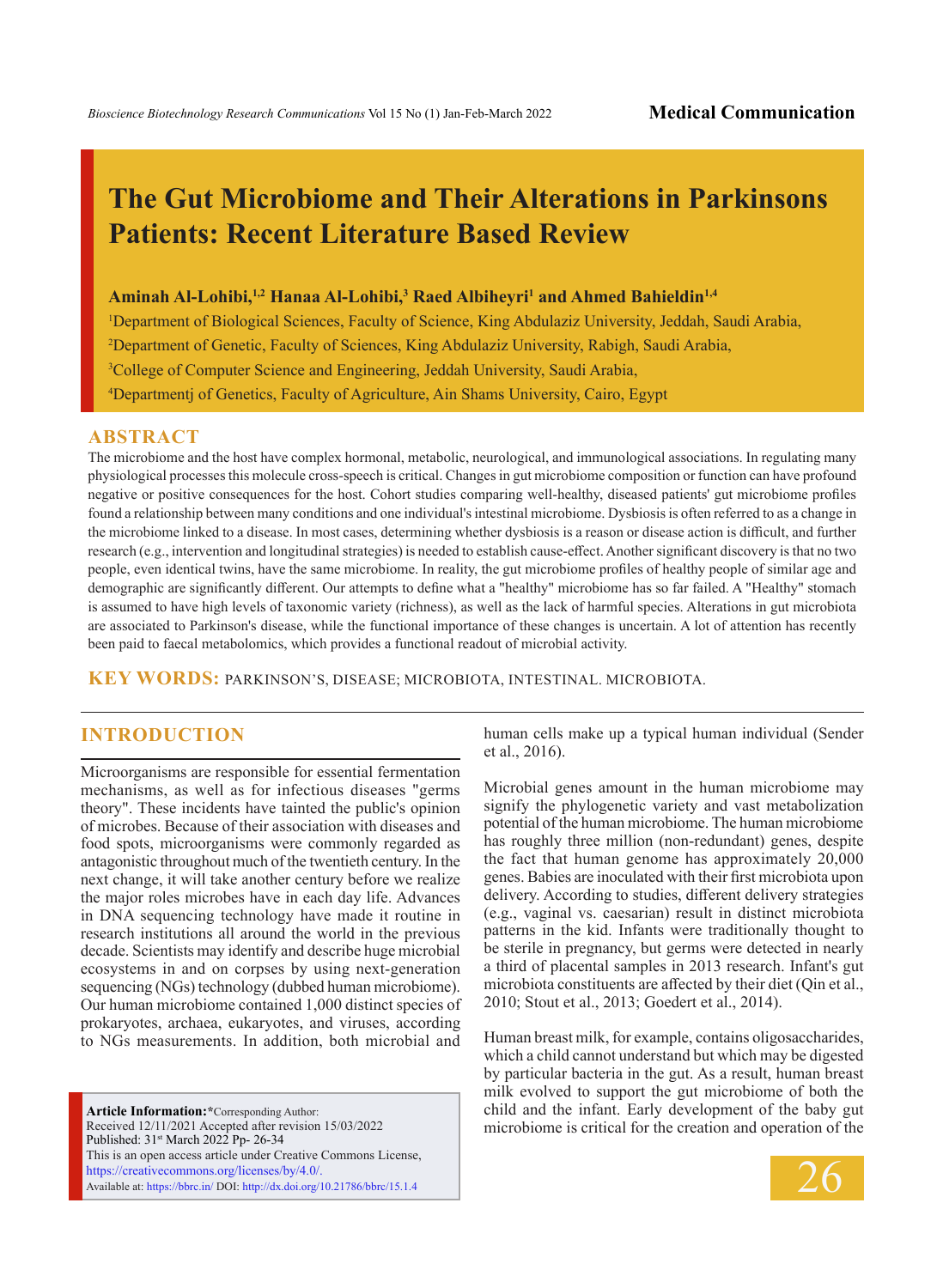# **The Gut Microbiome and Their Alterations in Parkinsons Patients: Recent Literature Based Review**

#### **Aminah Al-Lohibi,1,2 Hanaa Al-Lohibi,3 Raed Albiheyri1 and Ahmed Bahieldin1,4**

1 Department of Biological Sciences, Faculty of Science, King Abdulaziz University, Jeddah, Saudi Arabia,

2 Department of Genetic, Faculty of Sciences, King Abdulaziz University, Rabigh, Saudi Arabia,

<sup>3</sup>College of Computer Science and Engineering, Jeddah University, Saudi Arabia,

4 Departmentj of Genetics, Faculty of Agriculture, Ain Shams University, Cairo, Egypt

## **ABSTRACT**

The microbiome and the host have complex hormonal, metabolic, neurological, and immunological associations. In regulating many physiological processes this molecule cross-speech is critical. Changes in gut microbiome composition or function can have profound negative or positive consequences for the host. Cohort studies comparing well-healthy, diseased patients' gut microbiome profiles found a relationship between many conditions and one individual's intestinal microbiome. Dysbiosis is often referred to as a change in the microbiome linked to a disease. In most cases, determining whether dysbiosis is a reason or disease action is difficult, and further research (e.g., intervention and longitudinal strategies) is needed to establish cause-effect. Another significant discovery is that no two people, even identical twins, have the same microbiome. In reality, the gut microbiome profiles of healthy people of similar age and demographic are significantly different. Our attempts to define what a "healthy" microbiome has so far failed. A "Healthy" stomach is assumed to have high levels of taxonomic variety (richness), as well as the lack of harmful species. Alterations in gut microbiota are associated to Parkinson's disease, while the functional importance of these changes is uncertain. A lot of attention has recently been paid to faecal metabolomics, which provides a functional readout of microbial activity.

**KEY WORDS:** Parkinson's, disease; microbiota, intestinal. microbiota.

# **INTRODUCTION**

Microorganisms are responsible for essential fermentation mechanisms, as well as for infectious diseases "germs theory". These incidents have tainted the public's opinion of microbes. Because of their association with diseases and food spots, microorganisms were commonly regarded as antagonistic throughout much of the twentieth century. In the next change, it will take another century before we realize the major roles microbes have in each day life. Advances in DNA sequencing technology have made it routine in research institutions all around the world in the previous decade. Scientists may identify and describe huge microbial ecosystems in and on corpses by using next-generation sequencing (NGs) technology (dubbed human microbiome). Our human microbiome contained 1,000 distinct species of prokaryotes, archaea, eukaryotes, and viruses, according to NGs measurements. In addition, both microbial and

**Article Information:\***Corresponding Author: Received 12/11/2021 Accepted after revision 15/03/2022 Published: 31st March 2022 Pp- 26-34 This is an open access article under Creative Commons License, https://creativecommons.org/licenses/by/4.0/. Available at: https://bbrc.in/ DOI: http://dx.doi.org/10.21786/bbrc/15.1.4

human cells make up a typical human individual (Sender et al., 2016).

Microbial genes amount in the human microbiome may signify the phylogenetic variety and vast metabolization potential of the human microbiome. The human microbiome has roughly three million (non-redundant) genes, despite the fact that human genome has approximately 20,000 genes. Babies are inoculated with their first microbiota upon delivery. According to studies, different delivery strategies (e.g., vaginal vs. caesarian) result in distinct microbiota patterns in the kid. Infants were traditionally thought to be sterile in pregnancy, but germs were detected in nearly a third of placental samples in 2013 research. Infant's gut microbiota constituents are affected by their diet (Qin et al., 2010; Stout et al., 2013; Goedert et al., 2014).

Human breast milk, for example, contains oligosaccharides, which a child cannot understand but which may be digested by particular bacteria in the gut. As a result, human breast milk evolved to support the gut microbiome of both the child and the infant. Early development of the baby gut microbiome is critical for the creation and operation of the

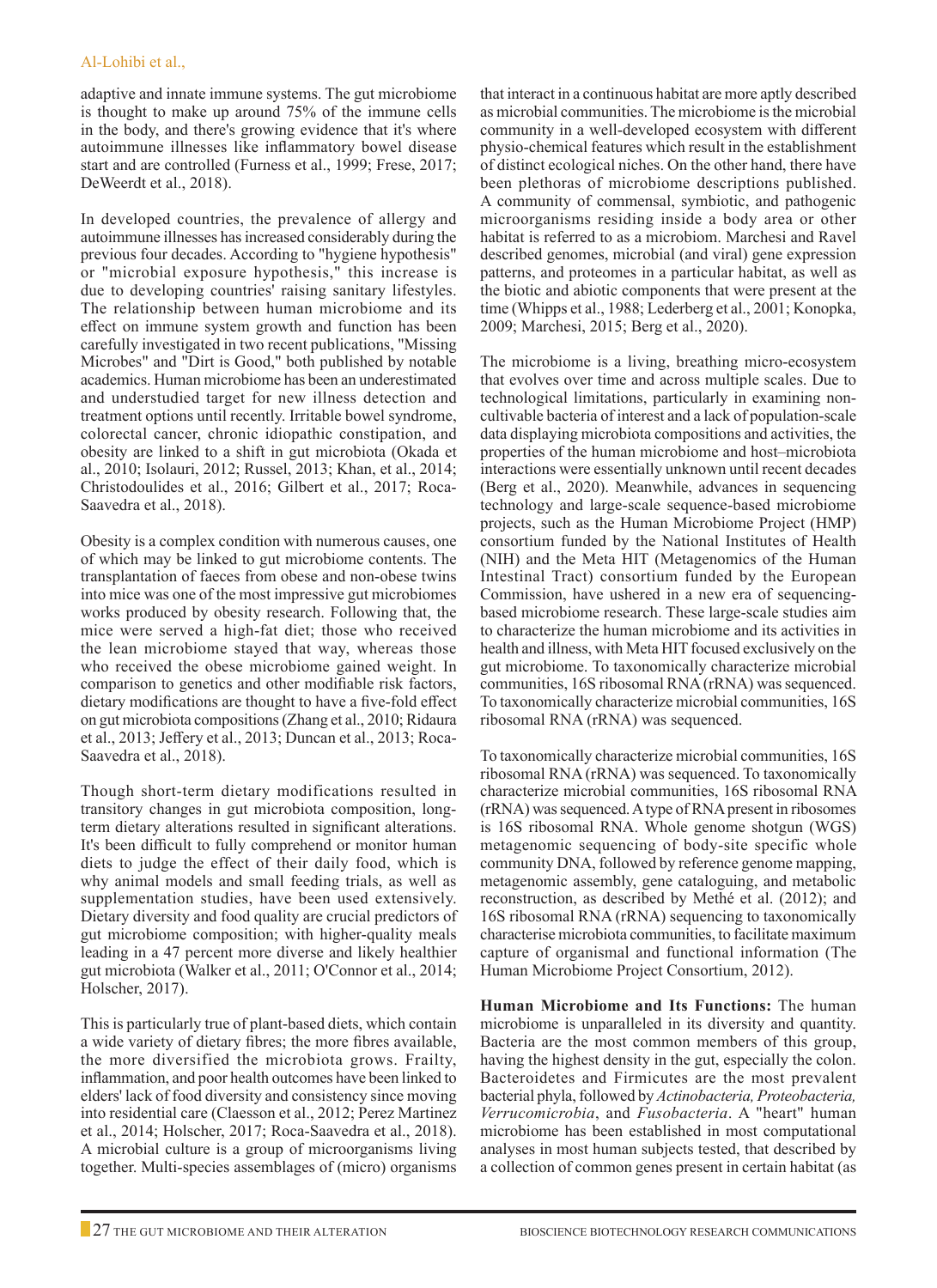adaptive and innate immune systems. The gut microbiome is thought to make up around 75% of the immune cells in the body, and there's growing evidence that it's where autoimmune illnesses like inflammatory bowel disease start and are controlled (Furness et al., 1999; Frese, 2017; DeWeerdt et al., 2018).

In developed countries, the prevalence of allergy and autoimmune illnesses has increased considerably during the previous four decades. According to "hygiene hypothesis" or "microbial exposure hypothesis," this increase is due to developing countries' raising sanitary lifestyles. The relationship between human microbiome and its effect on immune system growth and function has been carefully investigated in two recent publications, "Missing Microbes" and "Dirt is Good," both published by notable academics. Human microbiome has been an underestimated and understudied target for new illness detection and treatment options until recently. Irritable bowel syndrome, colorectal cancer, chronic idiopathic constipation, and obesity are linked to a shift in gut microbiota (Okada et al., 2010; Isolauri, 2012; Russel, 2013; Khan, et al., 2014; Christodoulides et al., 2016; Gilbert et al., 2017; Roca-Saavedra et al., 2018).

Obesity is a complex condition with numerous causes, one of which may be linked to gut microbiome contents. The transplantation of faeces from obese and non-obese twins into mice was one of the most impressive gut microbiomes works produced by obesity research. Following that, the mice were served a high-fat diet; those who received the lean microbiome stayed that way, whereas those who received the obese microbiome gained weight. In comparison to genetics and other modifiable risk factors, dietary modifications are thought to have a five-fold effect on gut microbiota compositions (Zhang et al., 2010; Ridaura et al., 2013; Jeffery et al., 2013; Duncan et al., 2013; Roca-Saavedra et al., 2018).

Though short-term dietary modifications resulted in transitory changes in gut microbiota composition, longterm dietary alterations resulted in significant alterations. It's been difficult to fully comprehend or monitor human diets to judge the effect of their daily food, which is why animal models and small feeding trials, as well as supplementation studies, have been used extensively. Dietary diversity and food quality are crucial predictors of gut microbiome composition; with higher-quality meals leading in a 47 percent more diverse and likely healthier gut microbiota (Walker et al., 2011; O'Connor et al., 2014; Holscher, 2017).

This is particularly true of plant-based diets, which contain a wide variety of dietary fibres; the more fibres available, the more diversified the microbiota grows. Frailty, inflammation, and poor health outcomes have been linked to elders' lack of food diversity and consistency since moving into residential care (Claesson et al., 2012; Perez Martinez et al., 2014; Holscher, 2017; Roca-Saavedra et al., 2018). A microbial culture is a group of microorganisms living together. Multi-species assemblages of (micro) organisms

that interact in a continuous habitat are more aptly described as microbial communities. The microbiome is the microbial community in a well-developed ecosystem with different physio-chemical features which result in the establishment of distinct ecological niches. On the other hand, there have been plethoras of microbiome descriptions published. A community of commensal, symbiotic, and pathogenic microorganisms residing inside a body area or other habitat is referred to as a microbiom. Marchesi and Ravel described genomes, microbial (and viral) gene expression patterns, and proteomes in a particular habitat, as well as the biotic and abiotic components that were present at the time (Whipps et al., 1988; Lederberg et al., 2001; Konopka, 2009; Marchesi, 2015; Berg et al., 2020).

The microbiome is a living, breathing micro-ecosystem that evolves over time and across multiple scales. Due to technological limitations, particularly in examining noncultivable bacteria of interest and a lack of population-scale data displaying microbiota compositions and activities, the properties of the human microbiome and host–microbiota interactions were essentially unknown until recent decades (Berg et al., 2020). Meanwhile, advances in sequencing technology and large-scale sequence-based microbiome projects, such as the Human Microbiome Project (HMP) consortium funded by the National Institutes of Health (NIH) and the Meta HIT (Metagenomics of the Human Intestinal Tract) consortium funded by the European Commission, have ushered in a new era of sequencingbased microbiome research. These large-scale studies aim to characterize the human microbiome and its activities in health and illness, with Meta HIT focused exclusively on the gut microbiome. To taxonomically characterize microbial communities, 16S ribosomal RNA (rRNA) was sequenced. To taxonomically characterize microbial communities, 16S ribosomal RNA (rRNA) was sequenced.

To taxonomically characterize microbial communities, 16S ribosomal RNA (rRNA) was sequenced. To taxonomically characterize microbial communities, 16S ribosomal RNA (rRNA) was sequenced. A type of RNA present in ribosomes is 16S ribosomal RNA. Whole genome shotgun (WGS) metagenomic sequencing of body-site specific whole community DNA, followed by reference genome mapping, metagenomic assembly, gene cataloguing, and metabolic reconstruction, as described by Methé et al. (2012); and 16S ribosomal RNA (rRNA) sequencing to taxonomically characterise microbiota communities, to facilitate maximum capture of organismal and functional information (The Human Microbiome Project Consortium, 2012).

**Human Microbiome and Its Functions:** The human microbiome is unparalleled in its diversity and quantity. Bacteria are the most common members of this group, having the highest density in the gut, especially the colon. Bacteroidetes and Firmicutes are the most prevalent bacterial phyla, followed by *Actinobacteria, Proteobacteria, Verrucomicrobia*, and *Fusobacteria*. A "heart" human microbiome has been established in most computational analyses in most human subjects tested, that described by a collection of common genes present in certain habitat (as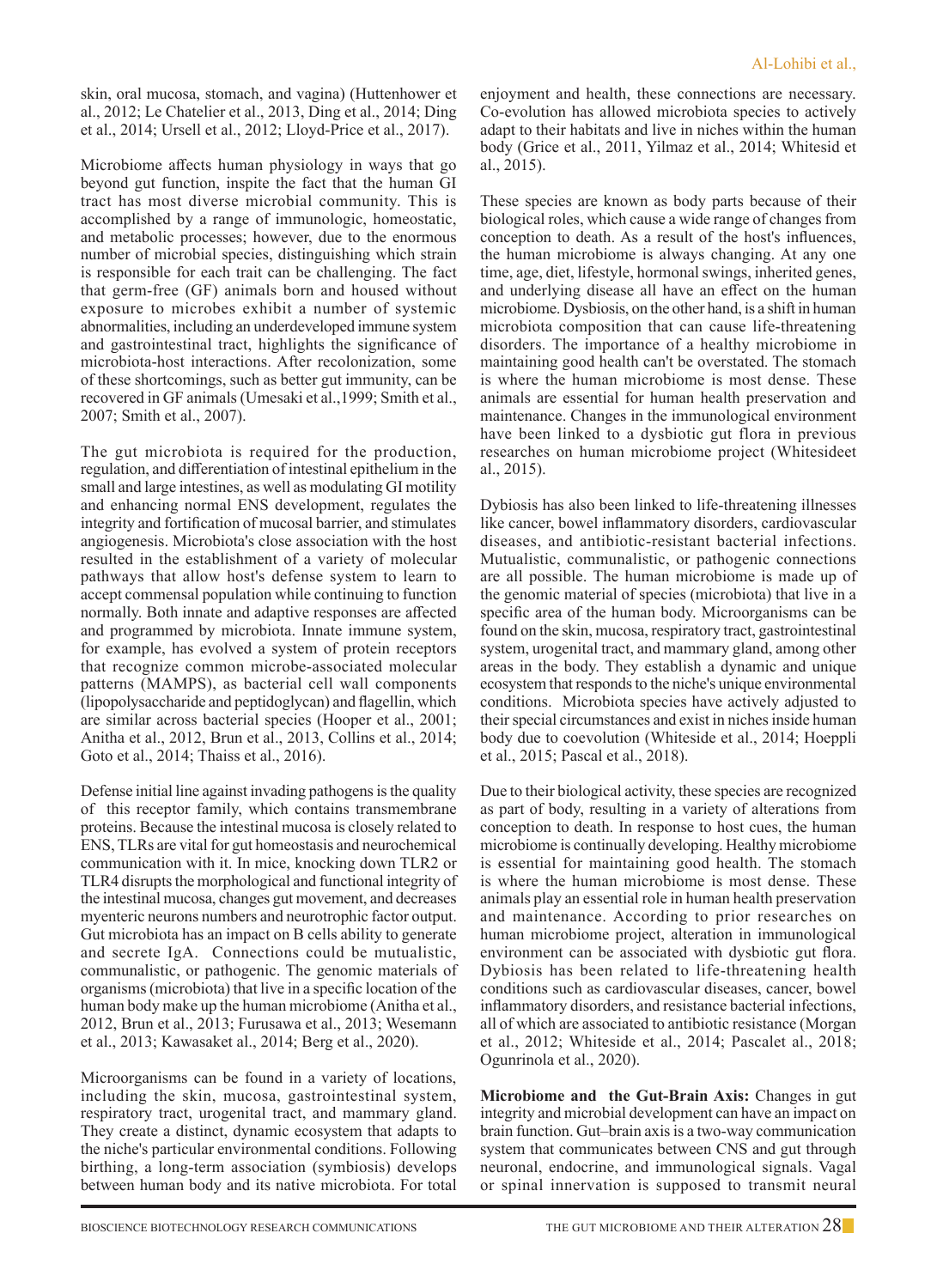skin, oral mucosa, stomach, and vagina) (Huttenhower et al., 2012; Le Chatelier et al., 2013, Ding et al., 2014; Ding et al., 2014; Ursell et al., 2012; Lloyd-Price et al., 2017).

Microbiome affects human physiology in ways that go beyond gut function, inspite the fact that the human GI tract has most diverse microbial community. This is accomplished by a range of immunologic, homeostatic, and metabolic processes; however, due to the enormous number of microbial species, distinguishing which strain is responsible for each trait can be challenging. The fact that germ-free (GF) animals born and housed without exposure to microbes exhibit a number of systemic abnormalities, including an underdeveloped immune system and gastrointestinal tract, highlights the significance of microbiota-host interactions. After recolonization, some of these shortcomings, such as better gut immunity, can be recovered in GF animals (Umesaki et al.,1999; Smith et al., 2007; Smith et al., 2007).

The gut microbiota is required for the production, regulation, and differentiation of intestinal epithelium in the small and large intestines, as well as modulating GI motility and enhancing normal ENS development, regulates the integrity and fortification of mucosal barrier, and stimulates angiogenesis. Microbiota's close association with the host resulted in the establishment of a variety of molecular pathways that allow host's defense system to learn to accept commensal population while continuing to function normally. Both innate and adaptive responses are affected and programmed by microbiota. Innate immune system, for example, has evolved a system of protein receptors that recognize common microbe-associated molecular patterns (MAMPS), as bacterial cell wall components (lipopolysaccharide and peptidoglycan) and flagellin, which are similar across bacterial species (Hooper et al., 2001; Anitha et al., 2012, Brun et al., 2013, Collins et al., 2014; Goto et al., 2014; Thaiss et al., 2016).

Defense initial line against invading pathogens is the quality of this receptor family, which contains transmembrane proteins. Because the intestinal mucosa is closely related to ENS, TLRs are vital for gut homeostasis and neurochemical communication with it. In mice, knocking down TLR2 or TLR4 disrupts the morphological and functional integrity of the intestinal mucosa, changes gut movement, and decreases myenteric neurons numbers and neurotrophic factor output. Gut microbiota has an impact on B cells ability to generate and secrete IgA. Connections could be mutualistic, communalistic, or pathogenic. The genomic materials of organisms (microbiota) that live in a specific location of the human body make up the human microbiome (Anitha et al., 2012, Brun et al., 2013; Furusawa et al., 2013; Wesemann et al., 2013; Kawasaket al., 2014; Berg et al., 2020).

Microorganisms can be found in a variety of locations, including the skin, mucosa, gastrointestinal system, respiratory tract, urogenital tract, and mammary gland. They create a distinct, dynamic ecosystem that adapts to the niche's particular environmental conditions. Following birthing, a long-term association (symbiosis) develops between human body and its native microbiota. For total enjoyment and health, these connections are necessary. Co-evolution has allowed microbiota species to actively adapt to their habitats and live in niches within the human body (Grice et al., 2011, Yilmaz et al., 2014; Whitesid et al., 2015).

These species are known as body parts because of their biological roles, which cause a wide range of changes from conception to death. As a result of the host's influences, the human microbiome is always changing. At any one time, age, diet, lifestyle, hormonal swings, inherited genes, and underlying disease all have an effect on the human microbiome. Dysbiosis, on the other hand, is a shift in human microbiota composition that can cause life-threatening disorders. The importance of a healthy microbiome in maintaining good health can't be overstated. The stomach is where the human microbiome is most dense. These animals are essential for human health preservation and maintenance. Changes in the immunological environment have been linked to a dysbiotic gut flora in previous researches on human microbiome project (Whitesideet al., 2015).

Dybiosis has also been linked to life-threatening illnesses like cancer, bowel inflammatory disorders, cardiovascular diseases, and antibiotic-resistant bacterial infections. Mutualistic, communalistic, or pathogenic connections are all possible. The human microbiome is made up of the genomic material of species (microbiota) that live in a specific area of the human body. Microorganisms can be found on the skin, mucosa, respiratory tract, gastrointestinal system, urogenital tract, and mammary gland, among other areas in the body. They establish a dynamic and unique ecosystem that responds to the niche's unique environmental conditions. Microbiota species have actively adjusted to their special circumstances and exist in niches inside human body due to coevolution (Whiteside et al., 2014; Hoeppli et al., 2015; Pascal et al., 2018).

Due to their biological activity, these species are recognized as part of body, resulting in a variety of alterations from conception to death. In response to host cues, the human microbiome is continually developing. Healthy microbiome is essential for maintaining good health. The stomach is where the human microbiome is most dense. These animals play an essential role in human health preservation and maintenance. According to prior researches on human microbiome project, alteration in immunological environment can be associated with dysbiotic gut flora. Dybiosis has been related to life-threatening health conditions such as cardiovascular diseases, cancer, bowel inflammatory disorders, and resistance bacterial infections, all of which are associated to antibiotic resistance (Morgan et al., 2012; Whiteside et al., 2014; Pascalet al., 2018; Ogunrinola et al., 2020).

**Microbiome and the Gut-Brain Axis:** Changes in gut integrity and microbial development can have an impact on brain function. Gut–brain axis is a two-way communication system that communicates between CNS and gut through neuronal, endocrine, and immunological signals. Vagal or spinal innervation is supposed to transmit neural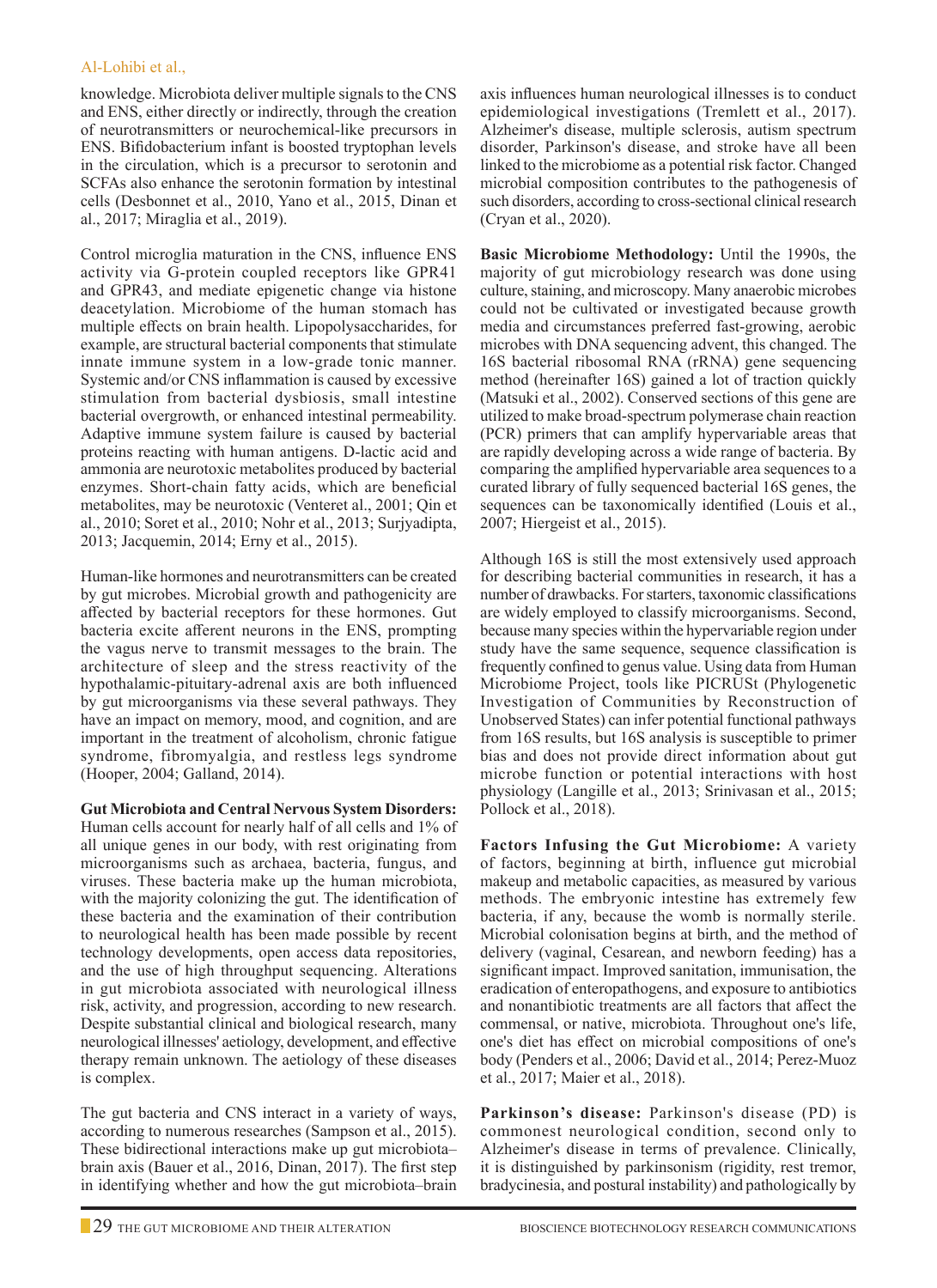#### Al-Lohibi et al.,

knowledge. Microbiota deliver multiple signals to the CNS and ENS, either directly or indirectly, through the creation of neurotransmitters or neurochemical-like precursors in ENS. Bifidobacterium infant is boosted tryptophan levels in the circulation, which is a precursor to serotonin and SCFAs also enhance the serotonin formation by intestinal cells (Desbonnet et al., 2010, Yano et al., 2015, Dinan et al., 2017; Miraglia et al., 2019).

Control microglia maturation in the CNS, influence ENS activity via G-protein coupled receptors like GPR41 and GPR43, and mediate epigenetic change via histone deacetylation. Microbiome of the human stomach has multiple effects on brain health. Lipopolysaccharides, for example, are structural bacterial components that stimulate innate immune system in a low-grade tonic manner. Systemic and/or CNS inflammation is caused by excessive stimulation from bacterial dysbiosis, small intestine bacterial overgrowth, or enhanced intestinal permeability. Adaptive immune system failure is caused by bacterial proteins reacting with human antigens. D-lactic acid and ammonia are neurotoxic metabolites produced by bacterial enzymes. Short-chain fatty acids, which are beneficial metabolites, may be neurotoxic (Venteret al., 2001; Qin et al., 2010; Soret et al., 2010; Nohr et al., 2013; Surjyadipta, 2013; Jacquemin, 2014; Erny et al., 2015).

Human-like hormones and neurotransmitters can be created by gut microbes. Microbial growth and pathogenicity are affected by bacterial receptors for these hormones. Gut bacteria excite afferent neurons in the ENS, prompting the vagus nerve to transmit messages to the brain. The architecture of sleep and the stress reactivity of the hypothalamic-pituitary-adrenal axis are both influenced by gut microorganisms via these several pathways. They have an impact on memory, mood, and cognition, and are important in the treatment of alcoholism, chronic fatigue syndrome, fibromyalgia, and restless legs syndrome (Hooper, 2004; Galland, 2014).

**Gut Microbiota and Central Nervous System Disorders:** Human cells account for nearly half of all cells and 1% of all unique genes in our body, with rest originating from microorganisms such as archaea, bacteria, fungus, and viruses. These bacteria make up the human microbiota, with the majority colonizing the gut. The identification of these bacteria and the examination of their contribution to neurological health has been made possible by recent technology developments, open access data repositories, and the use of high throughput sequencing. Alterations in gut microbiota associated with neurological illness risk, activity, and progression, according to new research. Despite substantial clinical and biological research, many neurological illnesses' aetiology, development, and effective therapy remain unknown. The aetiology of these diseases is complex.

The gut bacteria and CNS interact in a variety of ways, according to numerous researches (Sampson et al., 2015). These bidirectional interactions make up gut microbiota– brain axis (Bauer et al., 2016, Dinan, 2017). The first step in identifying whether and how the gut microbiota–brain

axis influences human neurological illnesses is to conduct epidemiological investigations (Tremlett et al., 2017). Alzheimer's disease, multiple sclerosis, autism spectrum disorder, Parkinson's disease, and stroke have all been linked to the microbiome as a potential risk factor. Changed microbial composition contributes to the pathogenesis of such disorders, according to cross-sectional clinical research (Cryan et al., 2020).

**Basic Microbiome Methodology:** Until the 1990s, the majority of gut microbiology research was done using culture, staining, and microscopy. Many anaerobic microbes could not be cultivated or investigated because growth media and circumstances preferred fast-growing, aerobic microbes with DNA sequencing advent, this changed. The 16S bacterial ribosomal RNA (rRNA) gene sequencing method (hereinafter 16S) gained a lot of traction quickly (Matsuki et al., 2002). Conserved sections of this gene are utilized to make broad-spectrum polymerase chain reaction (PCR) primers that can amplify hypervariable areas that are rapidly developing across a wide range of bacteria. By comparing the amplified hypervariable area sequences to a curated library of fully sequenced bacterial 16S genes, the sequences can be taxonomically identified (Louis et al., 2007; Hiergeist et al., 2015).

Although 16S is still the most extensively used approach for describing bacterial communities in research, it has a number of drawbacks. For starters, taxonomic classifications are widely employed to classify microorganisms. Second, because many species within the hypervariable region under study have the same sequence, sequence classification is frequently confined to genus value. Using data from Human Microbiome Project, tools like PICRUSt (Phylogenetic Investigation of Communities by Reconstruction of Unobserved States) can infer potential functional pathways from 16S results, but 16S analysis is susceptible to primer bias and does not provide direct information about gut microbe function or potential interactions with host physiology (Langille et al., 2013; Srinivasan et al., 2015; Pollock et al., 2018).

**Factors Infusing the Gut Microbiome:** A variety of factors, beginning at birth, influence gut microbial makeup and metabolic capacities, as measured by various methods. The embryonic intestine has extremely few bacteria, if any, because the womb is normally sterile. Microbial colonisation begins at birth, and the method of delivery (vaginal, Cesarean, and newborn feeding) has a significant impact. Improved sanitation, immunisation, the eradication of enteropathogens, and exposure to antibiotics and nonantibiotic treatments are all factors that affect the commensal, or native, microbiota. Throughout one's life, one's diet has effect on microbial compositions of one's body (Penders et al., 2006; David et al., 2014; Perez-Muoz et al., 2017; Maier et al., 2018).

**Parkinson's disease:** Parkinson's disease (PD) is commonest neurological condition, second only to Alzheimer's disease in terms of prevalence. Clinically, it is distinguished by parkinsonism (rigidity, rest tremor, bradycinesia, and postural instability) and pathologically by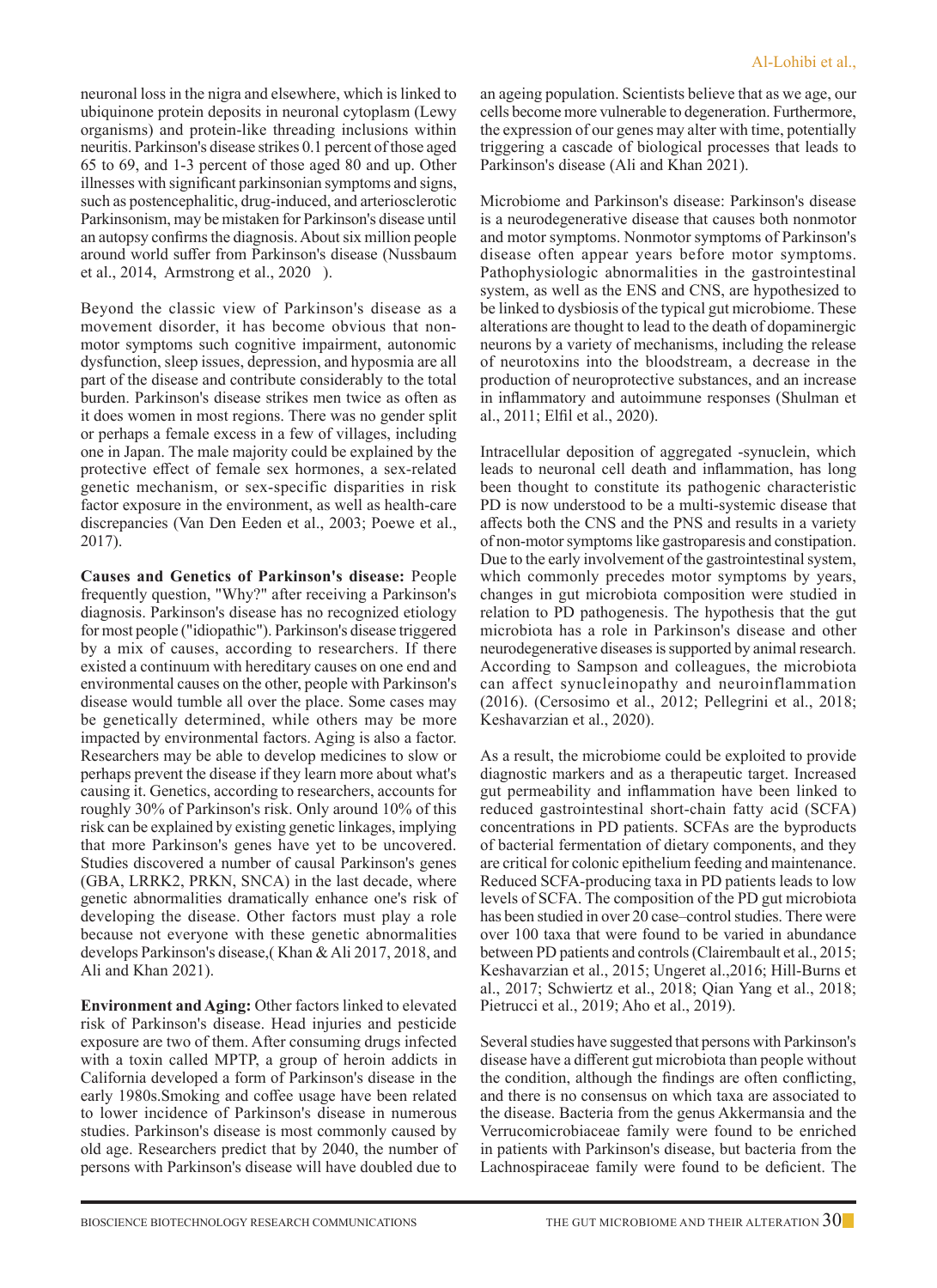neuronal loss in the nigra and elsewhere, which is linked to ubiquinone protein deposits in neuronal cytoplasm (Lewy organisms) and protein-like threading inclusions within neuritis. Parkinson's disease strikes 0.1 percent of those aged 65 to 69, and 1-3 percent of those aged 80 and up. Other illnesses with significant parkinsonian symptoms and signs, such as postencephalitic, drug-induced, and arteriosclerotic Parkinsonism, may be mistaken for Parkinson's disease until an autopsy confirms the diagnosis. About six million people around world suffer from Parkinson's disease (Nussbaum et al., 2014, Armstrong et al., 2020 ).

Beyond the classic view of Parkinson's disease as a movement disorder, it has become obvious that nonmotor symptoms such cognitive impairment, autonomic dysfunction, sleep issues, depression, and hyposmia are all part of the disease and contribute considerably to the total burden. Parkinson's disease strikes men twice as often as it does women in most regions. There was no gender split or perhaps a female excess in a few of villages, including one in Japan. The male majority could be explained by the protective effect of female sex hormones, a sex-related genetic mechanism, or sex-specific disparities in risk factor exposure in the environment, as well as health-care discrepancies (Van Den Eeden et al., 2003; Poewe et al., 2017).

**Causes and Genetics of Parkinson's disease:** People frequently question, "Why?" after receiving a Parkinson's diagnosis. Parkinson's disease has no recognized etiology for most people ("idiopathic"). Parkinson's disease triggered by a mix of causes, according to researchers. If there existed a continuum with hereditary causes on one end and environmental causes on the other, people with Parkinson's disease would tumble all over the place. Some cases may be genetically determined, while others may be more impacted by environmental factors. Aging is also a factor. Researchers may be able to develop medicines to slow or perhaps prevent the disease if they learn more about what's causing it. Genetics, according to researchers, accounts for roughly 30% of Parkinson's risk. Only around 10% of this risk can be explained by existing genetic linkages, implying that more Parkinson's genes have yet to be uncovered. Studies discovered a number of causal Parkinson's genes (GBA, LRRK2, PRKN, SNCA) in the last decade, where genetic abnormalities dramatically enhance one's risk of developing the disease. Other factors must play a role because not everyone with these genetic abnormalities develops Parkinson's disease,( Khan & Ali 2017, 2018, and Ali and Khan 2021).

**Environment and Aging:** Other factors linked to elevated risk of Parkinson's disease. Head injuries and pesticide exposure are two of them. After consuming drugs infected with a toxin called MPTP, a group of heroin addicts in California developed a form of Parkinson's disease in the early 1980s.Smoking and coffee usage have been related to lower incidence of Parkinson's disease in numerous studies. Parkinson's disease is most commonly caused by old age. Researchers predict that by 2040, the number of persons with Parkinson's disease will have doubled due to an ageing population. Scientists believe that as we age, our cells become more vulnerable to degeneration. Furthermore, the expression of our genes may alter with time, potentially triggering a cascade of biological processes that leads to Parkinson's disease (Ali and Khan 2021).

Microbiome and Parkinson's disease: Parkinson's disease is a neurodegenerative disease that causes both nonmotor and motor symptoms. Nonmotor symptoms of Parkinson's disease often appear years before motor symptoms. Pathophysiologic abnormalities in the gastrointestinal system, as well as the ENS and CNS, are hypothesized to be linked to dysbiosis of the typical gut microbiome. These alterations are thought to lead to the death of dopaminergic neurons by a variety of mechanisms, including the release of neurotoxins into the bloodstream, a decrease in the production of neuroprotective substances, and an increase in inflammatory and autoimmune responses (Shulman et al., 2011; Elfil et al., 2020).

Intracellular deposition of aggregated -synuclein, which leads to neuronal cell death and inflammation, has long been thought to constitute its pathogenic characteristic PD is now understood to be a multi-systemic disease that affects both the CNS and the PNS and results in a variety of non-motor symptoms like gastroparesis and constipation. Due to the early involvement of the gastrointestinal system, which commonly precedes motor symptoms by years, changes in gut microbiota composition were studied in relation to PD pathogenesis. The hypothesis that the gut microbiota has a role in Parkinson's disease and other neurodegenerative diseases is supported by animal research. According to Sampson and colleagues, the microbiota can affect synucleinopathy and neuroinflammation (2016). (Cersosimo et al., 2012; Pellegrini et al., 2018; Keshavarzian et al., 2020).

As a result, the microbiome could be exploited to provide diagnostic markers and as a therapeutic target. Increased gut permeability and inflammation have been linked to reduced gastrointestinal short-chain fatty acid (SCFA) concentrations in PD patients. SCFAs are the byproducts of bacterial fermentation of dietary components, and they are critical for colonic epithelium feeding and maintenance. Reduced SCFA-producing taxa in PD patients leads to low levels of SCFA. The composition of the PD gut microbiota has been studied in over 20 case–control studies. There were over 100 taxa that were found to be varied in abundance between PD patients and controls (Clairembault et al., 2015; Keshavarzian et al., 2015; Ungeret al.,2016; Hill-Burns et al., 2017; Schwiertz et al., 2018; Qian Yang et al., 2018; Pietrucci et al., 2019; Aho et al., 2019).

Several studies have suggested that persons with Parkinson's disease have a different gut microbiota than people without the condition, although the findings are often conflicting, and there is no consensus on which taxa are associated to the disease. Bacteria from the genus Akkermansia and the Verrucomicrobiaceae family were found to be enriched in patients with Parkinson's disease, but bacteria from the Lachnospiraceae family were found to be deficient. The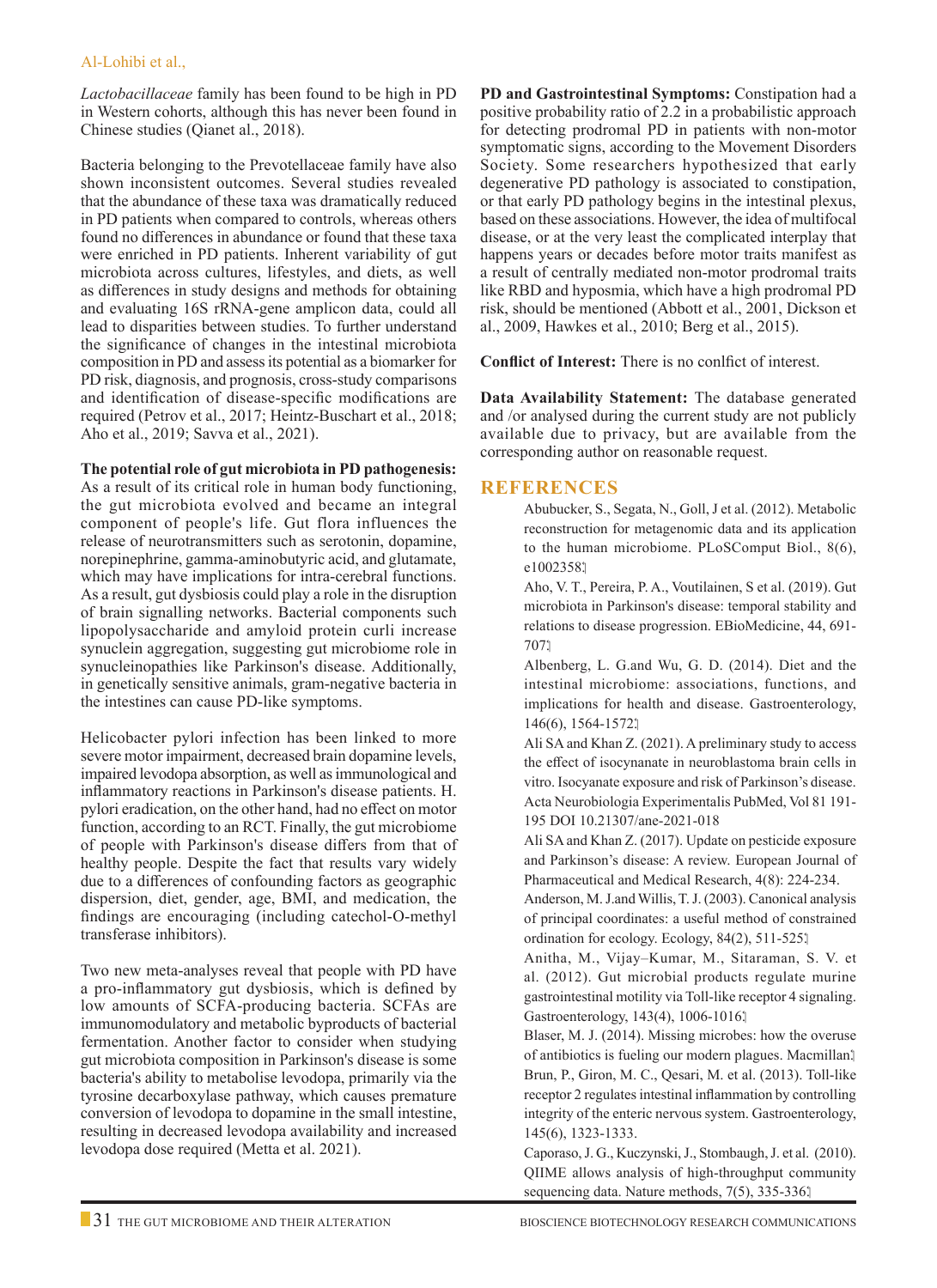#### Al-Lohibi et al.,

*Lactobacillaceae* family has been found to be high in PD in Western cohorts, although this has never been found in Chinese studies (Qianet al., 2018).

Bacteria belonging to the Prevotellaceae family have also shown inconsistent outcomes. Several studies revealed that the abundance of these taxa was dramatically reduced in PD patients when compared to controls, whereas others found no differences in abundance or found that these taxa were enriched in PD patients. Inherent variability of gut microbiota across cultures, lifestyles, and diets, as well as differences in study designs and methods for obtaining and evaluating 16S rRNA-gene amplicon data, could all lead to disparities between studies. To further understand the significance of changes in the intestinal microbiota composition in PD and assess its potential as a biomarker for PD risk, diagnosis, and prognosis, cross-study comparisons and identification of disease-specific modifications are required (Petrov et al., 2017; Heintz-Buschart et al., 2018; Aho et al., 2019; Savva et al., 2021).

#### **The potential role of gut microbiota in PD pathogenesis:**

As a result of its critical role in human body functioning, the gut microbiota evolved and became an integral component of people's life. Gut flora influences the release of neurotransmitters such as serotonin, dopamine, norepinephrine, gamma-aminobutyric acid, and glutamate, which may have implications for intra-cerebral functions. As a result, gut dysbiosis could play a role in the disruption of brain signalling networks. Bacterial components such lipopolysaccharide and amyloid protein curli increase synuclein aggregation, suggesting gut microbiome role in synucleinopathies like Parkinson's disease. Additionally, in genetically sensitive animals, gram-negative bacteria in the intestines can cause PD-like symptoms.

Helicobacter pylori infection has been linked to more severe motor impairment, decreased brain dopamine levels, impaired levodopa absorption, as well as immunological and inflammatory reactions in Parkinson's disease patients. H. pylori eradication, on the other hand, had no effect on motor function, according to an RCT. Finally, the gut microbiome of people with Parkinson's disease differs from that of healthy people. Despite the fact that results vary widely due to a differences of confounding factors as geographic dispersion, diet, gender, age, BMI, and medication, the findings are encouraging (including catechol-O-methyl transferase inhibitors).

Two new meta-analyses reveal that people with PD have a pro-inflammatory gut dysbiosis, which is defined by low amounts of SCFA-producing bacteria. SCFAs are immunomodulatory and metabolic byproducts of bacterial fermentation. Another factor to consider when studying gut microbiota composition in Parkinson's disease is some bacteria's ability to metabolise levodopa, primarily via the tyrosine decarboxylase pathway, which causes premature conversion of levodopa to dopamine in the small intestine, resulting in decreased levodopa availability and increased levodopa dose required (Metta et al. 2021).

**PD and Gastrointestinal Symptoms:** Constipation had a positive probability ratio of 2.2 in a probabilistic approach for detecting prodromal PD in patients with non-motor symptomatic signs, according to the Movement Disorders Society. Some researchers hypothesized that early degenerative PD pathology is associated to constipation, or that early PD pathology begins in the intestinal plexus, based on these associations. However, the idea of multifocal disease, or at the very least the complicated interplay that happens years or decades before motor traits manifest as a result of centrally mediated non-motor prodromal traits like RBD and hyposmia, which have a high prodromal PD risk, should be mentioned (Abbott et al., 2001, Dickson et al., 2009, Hawkes et al., 2010; Berg et al., 2015).

**Conflict of Interest:** There is no conlfict of interest.

**Data Availability Statement:** The database generated and /or analysed during the current study are not publicly available due to privacy, but are available from the corresponding author on reasonable request.

## **References**

- Abubucker, S., Segata, N., Goll, J et al. (2012). Metabolic reconstruction for metagenomic data and its application to the human microbiome. PLoSComput Biol., 8(6), e1002358.
- Aho, V. T., Pereira, P. A., Voutilainen, S et al. (2019). Gut microbiota in Parkinson's disease: temporal stability and relations to disease progression. EBioMedicine, 44, 691- 707.

Albenberg, L. G.and Wu, G. D. (2014). Diet and the intestinal microbiome: associations, functions, and implications for health and disease. Gastroenterology, 146(6), 1564-1572.

Ali SA and Khan Z. (2021). A preliminary study to access the effect of isocynanate in neuroblastoma brain cells in vitro. Isocyanate exposure and risk of Parkinson's disease. Acta Neurobiologia Experimentalis PubMed, Vol 81 191- 195 DOI 10.21307/ane-2021-018

Ali SA and Khan Z. (2017). Update on pesticide exposure and Parkinson's disease: A review. European Journal of Pharmaceutical and Medical Research, 4(8): 224-234.

Anderson, M. J.and Willis, T. J. (2003). Canonical analysis of principal coordinates: a useful method of constrained ordination for ecology. Ecology, 84(2), 511-525.

Anitha, M., Vijay–Kumar, M., Sitaraman, S. V. et al. (2012). Gut microbial products regulate murine gastrointestinal motility via Toll-like receptor 4 signaling. Gastroenterology, 143(4), 1006-1016.

 Blaser, M. J. (2014). Missing microbes: how the overuse of antibiotics is fueling our modern plagues. Macmillan. Brun, P., Giron, M. C., Qesari, M. et al. (2013). Toll-like receptor 2 regulates intestinal inflammation by controlling integrity of the enteric nervous system. Gastroenterology, 145(6), 1323-1333.

Caporaso, J. G., Kuczynski, J., Stombaugh, J. et al. (2010). QIIME allows analysis of high-throughput community sequencing data. Nature methods, 7(5), 335-336.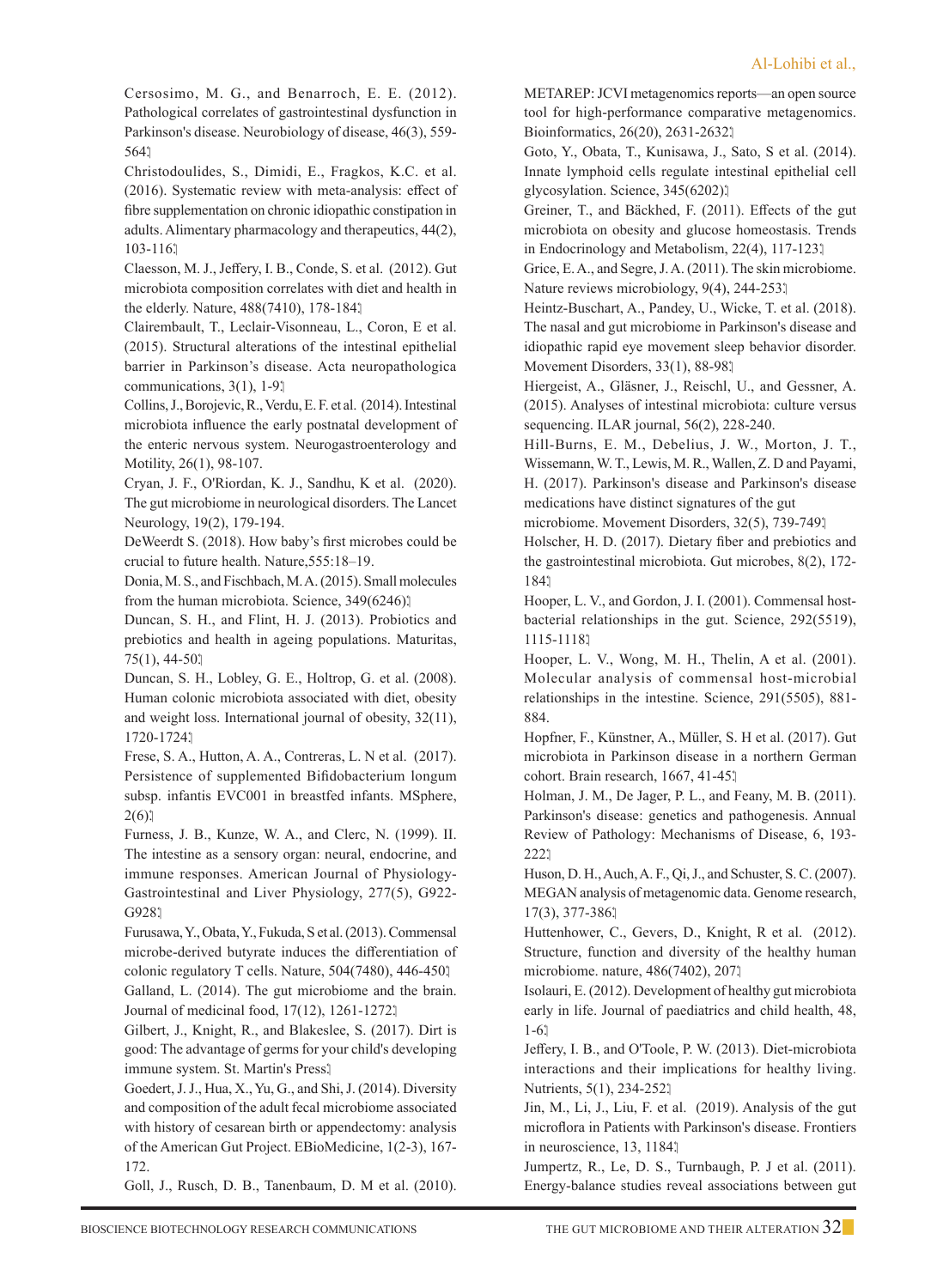Cersosimo, M. G., and Benarroch, E. E. (2012). Pathological correlates of gastrointestinal dysfunction in Parkinson's disease. Neurobiology of disease, 46(3), 559- 564.

Christodoulides, S., Dimidi, E., Fragkos, K.C. et al. (2016). Systematic review with meta-analysis: effect of fibre supplementation on chronic idiopathic constipation in adults. Alimentary pharmacology and therapeutics, 44(2), 103-116.

Claesson, M. J., Jeffery, I. B., Conde, S. et al. (2012). Gut microbiota composition correlates with diet and health in the elderly. Nature, 488(7410), 178-184.

Clairembault, T., Leclair-Visonneau, L., Coron, E et al. (2015). Structural alterations of the intestinal epithelial barrier in Parkinson's disease. Acta neuropathologica communications,  $3(1)$ ,  $1-9$ .

Collins, J., Borojevic, R., Verdu, E. F. et al. (2014). Intestinal microbiota influence the early postnatal development of the enteric nervous system. Neurogastroenterology and Motility, 26(1), 98-107.

Cryan, J. F., O'Riordan, K. J., Sandhu, K et al. (2020). The gut microbiome in neurological disorders. The Lancet Neurology, 19(2), 179-194.

 DeWeerdt S. (2018). How baby's first microbes could be crucial to future health. Nature,555:18–19.

 Donia, M. S., and Fischbach, M. A. (2015). Small molecules from the human microbiota. Science, 349(6246).

 Duncan, S. H., and Flint, H. J. (2013). Probiotics and prebiotics and health in ageing populations. Maturitas,  $75(1), 44-50.$ 

 Duncan, S. H., Lobley, G. E., Holtrop, G. et al. (2008). Human colonic microbiota associated with diet, obesity and weight loss. International journal of obesity, 32(11), 1720-1724.

Frese, S. A., Hutton, A. A., Contreras, L. N et al. (2017). Persistence of supplemented Bifidobacterium longum subsp. infantis EVC001 in breastfed infants. MSphere,  $2(6)$ 

Furness, J. B., Kunze, W. A., and Clerc, N. (1999). II. The intestine as a sensory organ: neural, endocrine, and immune responses. American Journal of Physiology-Gastrointestinal and Liver Physiology, 277(5), G922- G928.1

Furusawa, Y., Obata, Y., Fukuda, S et al. (2013). Commensal microbe-derived butyrate induces the differentiation of colonic regulatory T cells. Nature, 504(7480), 446-450. Galland, L. (2014). The gut microbiome and the brain. Journal of medicinal food, 17(12), 1261-1272.

Gilbert, J., Knight, R., and Blakeslee, S. (2017). Dirt is good: The advantage of germs for your child's developing immune system. St. Martin's Press.

Goedert, J. J., Hua, X., Yu, G., and Shi, J. (2014). Diversity and composition of the adult fecal microbiome associated with history of cesarean birth or appendectomy: analysis of the American Gut Project. EBioMedicine, 1(2-3), 167- 172.

Goll, J., Rusch, D. B., Tanenbaum, D. M et al. (2010).

METAREP: JCVI metagenomics reports—an open source tool for high-performance comparative metagenomics. Bioinformatics, 26(20), 2631-2632.

Goto, Y., Obata, T., Kunisawa, J., Sato, S et al. (2014). Innate lymphoid cells regulate intestinal epithelial cell glycosylation. Science, 345(6202).

Greiner, T., and Bäckhed, F. (2011). Effects of the gut microbiota on obesity and glucose homeostasis. Trends in Endocrinology and Metabolism, 22(4), 117-123.

Grice, E. A., and Segre, J. A. (2011). The skin microbiome. Nature reviews microbiology, 9(4), 244-253.

Heintz-Buschart, A., Pandey, U., Wicke, T. et al. (2018). The nasal and gut microbiome in Parkinson's disease and idiopathic rapid eye movement sleep behavior disorder. Movement Disorders, 33(1), 88-98.

Hiergeist, A., Gläsner, J., Reischl, U., and Gessner, A. (2015). Analyses of intestinal microbiota: culture versus sequencing. ILAR journal, 56(2), 228-240.

Hill-Burns, E. M., Debelius, J. W., Morton, J. T., Wissemann, W. T., Lewis, M. R., Wallen, Z. D and Payami, H. (2017). Parkinson's disease and Parkinson's disease medications have distinct signatures of the gut

microbiome. Movement Disorders, 32(5), 739-749.

Holscher, H. D. (2017). Dietary fiber and prebiotics and the gastrointestinal microbiota. Gut microbes, 8(2), 172- 184.

Hooper, L. V., and Gordon, J. I. (2001). Commensal hostbacterial relationships in the gut. Science, 292(5519), 1115-1118.

Hooper, L. V., Wong, M. H., Thelin, A et al. (2001). Molecular analysis of commensal host-microbial relationships in the intestine. Science, 291(5505), 881- 884.

Hopfner, F., Künstner, A., Müller, S. H et al. (2017). Gut microbiota in Parkinson disease in a northern German cohort. Brain research, 1667, 41-45.

Holman, J. M., De Jager, P. L., and Feany, M. B. (2011). Parkinson's disease: genetics and pathogenesis. Annual Review of Pathology: Mechanisms of Disease, 6, 193- 222.

Huson, D. H., Auch, A. F., Qi, J., and Schuster, S. C. (2007). MEGAN analysis of metagenomic data. Genome research, 17(3), 377-386.

Huttenhower, C., Gevers, D., Knight, R et al. (2012). Structure, function and diversity of the healthy human microbiome. nature, 486(7402), 207.

Isolauri, E. (2012). Development of healthy gut microbiota early in life. Journal of paediatrics and child health, 48, 1-6.

Jeffery, I. B., and O'Toole, P. W. (2013). Diet-microbiota interactions and their implications for healthy living. Nutrients, 5(1), 234-252.

Jin, M., Li, J., Liu, F. et al. (2019). Analysis of the gut microflora in Patients with Parkinson's disease. Frontiers in neuroscience, 13, 1184.

Jumpertz, R., Le, D. S., Turnbaugh, P. J et al. (2011). Energy-balance studies reveal associations between gut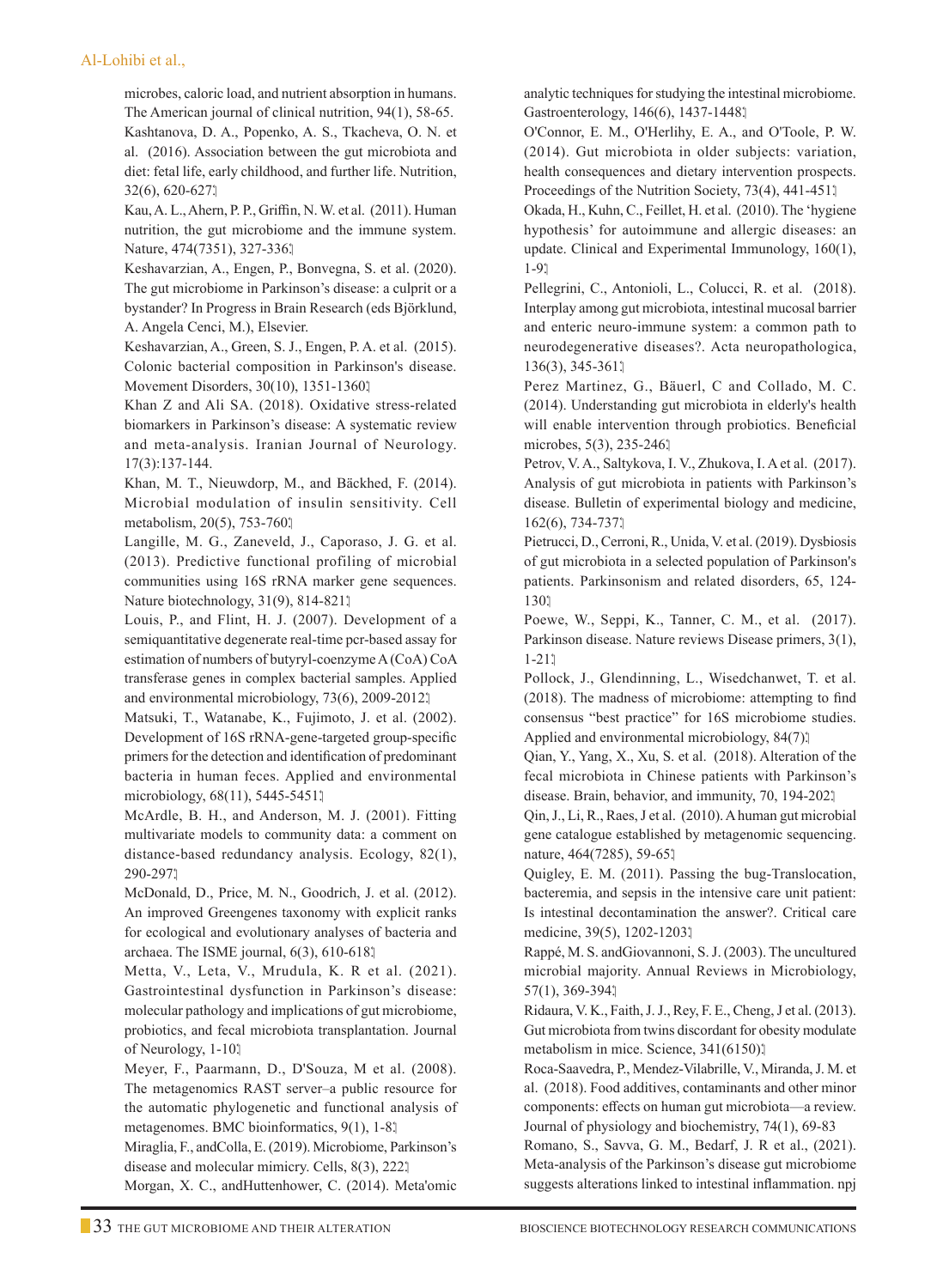#### Al-Lohibi et al.,

microbes, caloric load, and nutrient absorption in humans. The American journal of clinical nutrition, 94(1), 58-65. Kashtanova, D. A., Popenko, A. S., Tkacheva, O. N. et al. (2016). Association between the gut microbiota and diet: fetal life, early childhood, and further life. Nutrition, 32(6), 620-627.

 Kau, A. L., Ahern, P. P., Griffin, N. W. et al. (2011). Human nutrition, the gut microbiome and the immune system. Nature, 474(7351), 327-336.

 Keshavarzian, A., Engen, P., Bonvegna, S. et al. (2020). The gut microbiome in Parkinson's disease: a culprit or a bystander? In Progress in Brain Research (eds Björklund, A. Angela Cenci, M.), Elsevier.

 Keshavarzian, A., Green, S. J., Engen, P. A. et al. (2015). Colonic bacterial composition in Parkinson's disease. Movement Disorders, 30(10), 1351-1360.

 Khan Z and Ali SA. (2018). Oxidative stress-related biomarkers in Parkinson's disease: A systematic review and meta-analysis. Iranian Journal of Neurology. 17(3):137-144.

 Khan, M. T., Nieuwdorp, M., and Bäckhed, F. (2014). Microbial modulation of insulin sensitivity. Cell metabolism, 20(5), 753-760.

 Langille, M. G., Zaneveld, J., Caporaso, J. G. et al. (2013). Predictive functional profiling of microbial communities using 16S rRNA marker gene sequences. Nature biotechnology, 31(9), 814-821.

 Louis, P., and Flint, H. J. (2007). Development of a semiquantitative degenerate real-time pcr-based assay for estimation of numbers of butyryl-coenzyme A (CoA) CoA transferase genes in complex bacterial samples. Applied and environmental microbiology, 73(6), 2009-2012.

 Matsuki, T., Watanabe, K., Fujimoto, J. et al. (2002). Development of 16S rRNA-gene-targeted group-specific primers for the detection and identification of predominant bacteria in human feces. Applied and environmental microbiology, 68(11), 5445-5451.

 McArdle, B. H., and Anderson, M. J. (2001). Fitting multivariate models to community data: a comment on distance-based redundancy analysis. Ecology, 82(1), 290-297.

 McDonald, D., Price, M. N., Goodrich, J. et al. (2012). An improved Greengenes taxonomy with explicit ranks for ecological and evolutionary analyses of bacteria and archaea. The ISME journal, 6(3), 610-618.

 Metta, V., Leta, V., Mrudula, K. R et al. (2021). Gastrointestinal dysfunction in Parkinson's disease: molecular pathology and implications of gut microbiome, probiotics, and fecal microbiota transplantation. Journal of Neurology, 1-10.

 Meyer, F., Paarmann, D., D'Souza, M et al. (2008). The metagenomics RAST server–a public resource for the automatic phylogenetic and functional analysis of metagenomes. BMC bioinformatics, 9(1), 1-8.

 Miraglia, F., andColla, E. (2019). Microbiome, Parkinson's disease and molecular mimicry. Cells, 8(3), 222.

Morgan, X. C., andHuttenhower, C. (2014). Meta'omic

analytic techniques for studying the intestinal microbiome. Gastroenterology, 146(6), 1437-1448.

O'Connor, E. M., O'Herlihy, E. A., and O'Toole, P. W. (2014). Gut microbiota in older subjects: variation, health consequences and dietary intervention prospects. Proceedings of the Nutrition Society, 73(4), 441-451.

Okada, H., Kuhn, C., Feillet, H. et al. (2010). The 'hygiene hypothesis' for autoimmune and allergic diseases: an update. Clinical and Experimental Immunology, 160(1), 1-9.

Pellegrini, C., Antonioli, L., Colucci, R. et al. (2018). Interplay among gut microbiota, intestinal mucosal barrier and enteric neuro-immune system: a common path to neurodegenerative diseases?. Acta neuropathologica, 136(3), 345-361.

Perez Martinez, G., Bäuerl, C and Collado, M. C. (2014). Understanding gut microbiota in elderly's health will enable intervention through probiotics. Beneficial microbes, 5(3), 235-246.

Petrov, V. A., Saltykova, I. V., Zhukova, I. A et al. (2017). Analysis of gut microbiota in patients with Parkinson's disease. Bulletin of experimental biology and medicine, 162(6), 734-737.

Pietrucci, D., Cerroni, R., Unida, V. et al. (2019). Dysbiosis of gut microbiota in a selected population of Parkinson's patients. Parkinsonism and related disorders, 65, 124- 130.

Poewe, W., Seppi, K., Tanner, C. M., et al. (2017). Parkinson disease. Nature reviews Disease primers, 3(1),  $1 - 211$ 

Pollock, J., Glendinning, L., Wisedchanwet, T. et al. (2018). The madness of microbiome: attempting to find consensus "best practice" for 16S microbiome studies. Applied and environmental microbiology, 84(7).

Qian, Y., Yang, X., Xu, S. et al. (2018). Alteration of the fecal microbiota in Chinese patients with Parkinson's disease. Brain, behavior, and immunity, 70, 194-202.

Qin, J., Li, R., Raes, J et al. (2010). A human gut microbial gene catalogue established by metagenomic sequencing. nature, 464(7285), 59-65.

Quigley, E. M. (2011). Passing the bug-Translocation, bacteremia, and sepsis in the intensive care unit patient: Is intestinal decontamination the answer?. Critical care medicine, 39(5), 1202-1203.

 Rappé, M. S. andGiovannoni, S. J. (2003). The uncultured microbial majority. Annual Reviews in Microbiology, 57(1), 369-394.

 Ridaura, V. K., Faith, J. J., Rey, F. E., Cheng, J et al. (2013). Gut microbiota from twins discordant for obesity modulate metabolism in mice. Science, 341(6150).

 Roca-Saavedra, P., Mendez-Vilabrille, V., Miranda, J. M. et al. (2018). Food additives, contaminants and other minor components: effects on human gut microbiota—a review. Journal of physiology and biochemistry, 74(1), 69-83

 Romano, S., Savva, G. M., Bedarf, J. R et al., (2021). Meta-analysis of the Parkinson's disease gut microbiome suggests alterations linked to intestinal inflammation. npj